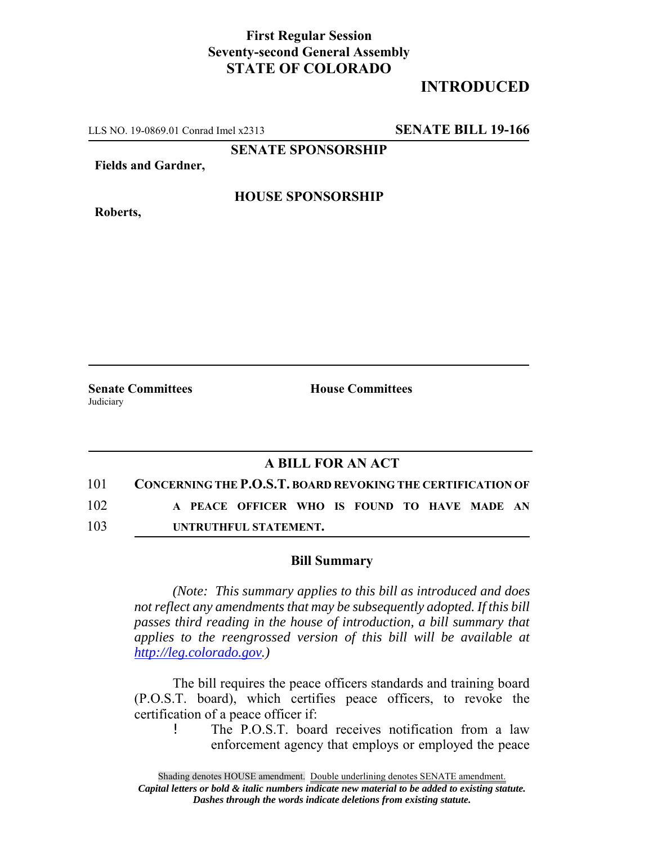### **First Regular Session Seventy-second General Assembly STATE OF COLORADO**

# **INTRODUCED**

LLS NO. 19-0869.01 Conrad Imel x2313 **SENATE BILL 19-166**

**SENATE SPONSORSHIP**

**Fields and Gardner,**

**Roberts,**

**HOUSE SPONSORSHIP**

**Senate Committees House Committees** Judiciary

### **A BILL FOR AN ACT**

101 **CONCERNING THE P.O.S.T. BOARD REVOKING THE CERTIFICATION OF** 102 **A PEACE OFFICER WHO IS FOUND TO HAVE MADE AN**

103 **UNTRUTHFUL STATEMENT.**

#### **Bill Summary**

*(Note: This summary applies to this bill as introduced and does not reflect any amendments that may be subsequently adopted. If this bill passes third reading in the house of introduction, a bill summary that applies to the reengrossed version of this bill will be available at http://leg.colorado.gov.)*

The bill requires the peace officers standards and training board (P.O.S.T. board), which certifies peace officers, to revoke the certification of a peace officer if:

! The P.O.S.T. board receives notification from a law enforcement agency that employs or employed the peace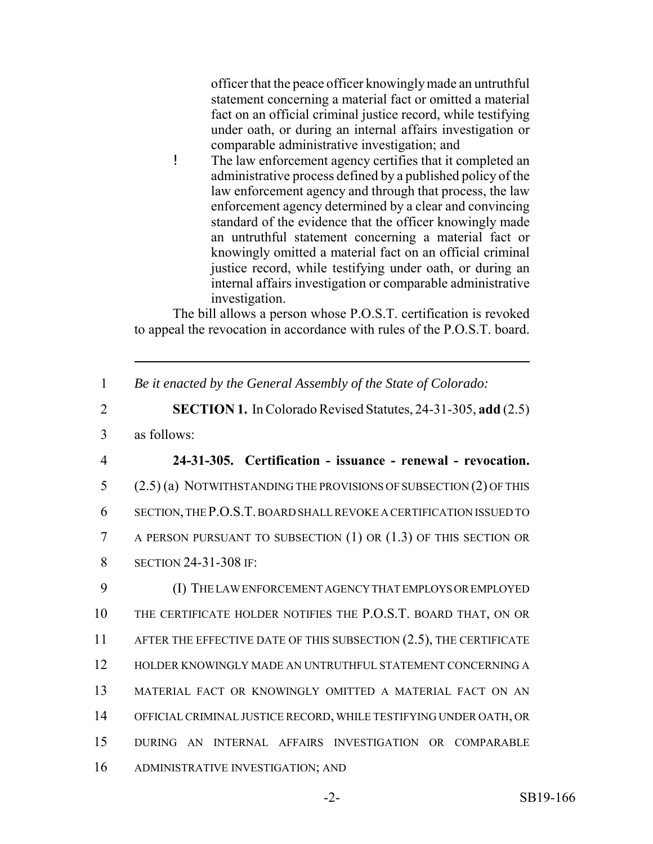officer that the peace officer knowingly made an untruthful statement concerning a material fact or omitted a material fact on an official criminal justice record, while testifying under oath, or during an internal affairs investigation or comparable administrative investigation; and

! The law enforcement agency certifies that it completed an administrative process defined by a published policy of the law enforcement agency and through that process, the law enforcement agency determined by a clear and convincing standard of the evidence that the officer knowingly made an untruthful statement concerning a material fact or knowingly omitted a material fact on an official criminal justice record, while testifying under oath, or during an internal affairs investigation or comparable administrative investigation.

The bill allows a person whose P.O.S.T. certification is revoked to appeal the revocation in accordance with rules of the P.O.S.T. board.

1 *Be it enacted by the General Assembly of the State of Colorado:*

2 **SECTION 1.** In Colorado Revised Statutes, 24-31-305, **add** (2.5)

- 3 as follows:
- 

## 4 **24-31-305. Certification - issuance - renewal - revocation.**

 (2.5) (a) NOTWITHSTANDING THE PROVISIONS OF SUBSECTION (2) OF THIS SECTION, THE P.O.S.T. BOARD SHALL REVOKE A CERTIFICATION ISSUED TO A PERSON PURSUANT TO SUBSECTION (1) OR (1.3) OF THIS SECTION OR **SECTION 24-31-308 IF:** 

 (I) THE LAW ENFORCEMENT AGENCY THAT EMPLOYS OR EMPLOYED THE CERTIFICATE HOLDER NOTIFIES THE P.O.S.T. BOARD THAT, ON OR 11 AFTER THE EFFECTIVE DATE OF THIS SUBSECTION (2.5), THE CERTIFICATE HOLDER KNOWINGLY MADE AN UNTRUTHFUL STATEMENT CONCERNING A MATERIAL FACT OR KNOWINGLY OMITTED A MATERIAL FACT ON AN OFFICIAL CRIMINAL JUSTICE RECORD, WHILE TESTIFYING UNDER OATH, OR DURING AN INTERNAL AFFAIRS INVESTIGATION OR COMPARABLE ADMINISTRATIVE INVESTIGATION; AND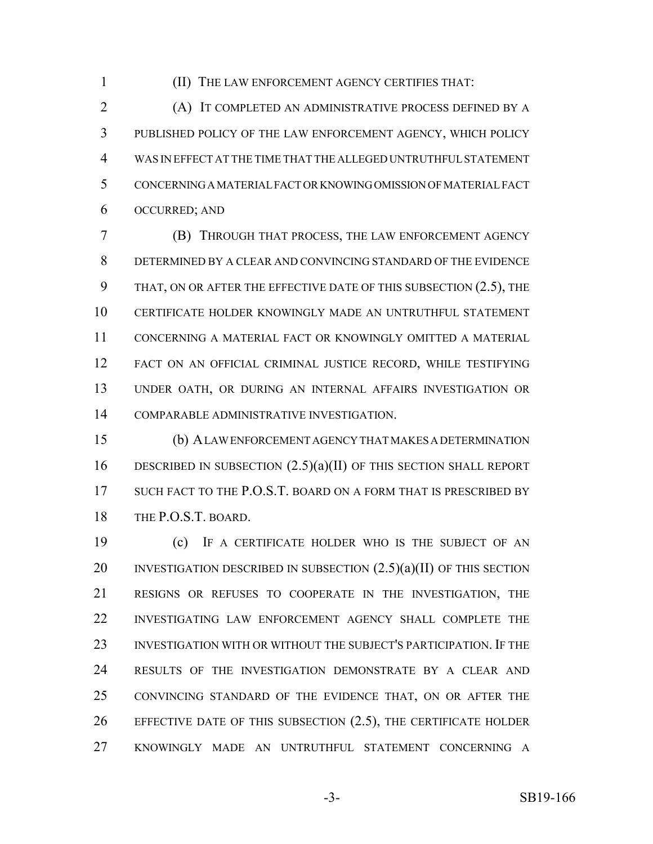(II) THE LAW ENFORCEMENT AGENCY CERTIFIES THAT:

 (A) IT COMPLETED AN ADMINISTRATIVE PROCESS DEFINED BY A PUBLISHED POLICY OF THE LAW ENFORCEMENT AGENCY, WHICH POLICY WAS IN EFFECT AT THE TIME THAT THE ALLEGED UNTRUTHFUL STATEMENT CONCERNING A MATERIAL FACT OR KNOWING OMISSION OF MATERIAL FACT OCCURRED; AND

 (B) THROUGH THAT PROCESS, THE LAW ENFORCEMENT AGENCY DETERMINED BY A CLEAR AND CONVINCING STANDARD OF THE EVIDENCE 9 THAT, ON OR AFTER THE EFFECTIVE DATE OF THIS SUBSECTION (2.5), THE CERTIFICATE HOLDER KNOWINGLY MADE AN UNTRUTHFUL STATEMENT CONCERNING A MATERIAL FACT OR KNOWINGLY OMITTED A MATERIAL FACT ON AN OFFICIAL CRIMINAL JUSTICE RECORD, WHILE TESTIFYING UNDER OATH, OR DURING AN INTERNAL AFFAIRS INVESTIGATION OR COMPARABLE ADMINISTRATIVE INVESTIGATION.

 (b) A LAW ENFORCEMENT AGENCY THAT MAKES A DETERMINATION DESCRIBED IN SUBSECTION (2.5)(a)(II) OF THIS SECTION SHALL REPORT 17 SUCH FACT TO THE P.O.S.T. BOARD ON A FORM THAT IS PRESCRIBED BY THE P.O.S.T. BOARD.

 (c) IF A CERTIFICATE HOLDER WHO IS THE SUBJECT OF AN 20 INVESTIGATION DESCRIBED IN SUBSECTION  $(2.5)(a)(II)$  OF THIS SECTION RESIGNS OR REFUSES TO COOPERATE IN THE INVESTIGATION, THE INVESTIGATING LAW ENFORCEMENT AGENCY SHALL COMPLETE THE INVESTIGATION WITH OR WITHOUT THE SUBJECT'S PARTICIPATION. IF THE RESULTS OF THE INVESTIGATION DEMONSTRATE BY A CLEAR AND CONVINCING STANDARD OF THE EVIDENCE THAT, ON OR AFTER THE EFFECTIVE DATE OF THIS SUBSECTION (2.5), THE CERTIFICATE HOLDER KNOWINGLY MADE AN UNTRUTHFUL STATEMENT CONCERNING A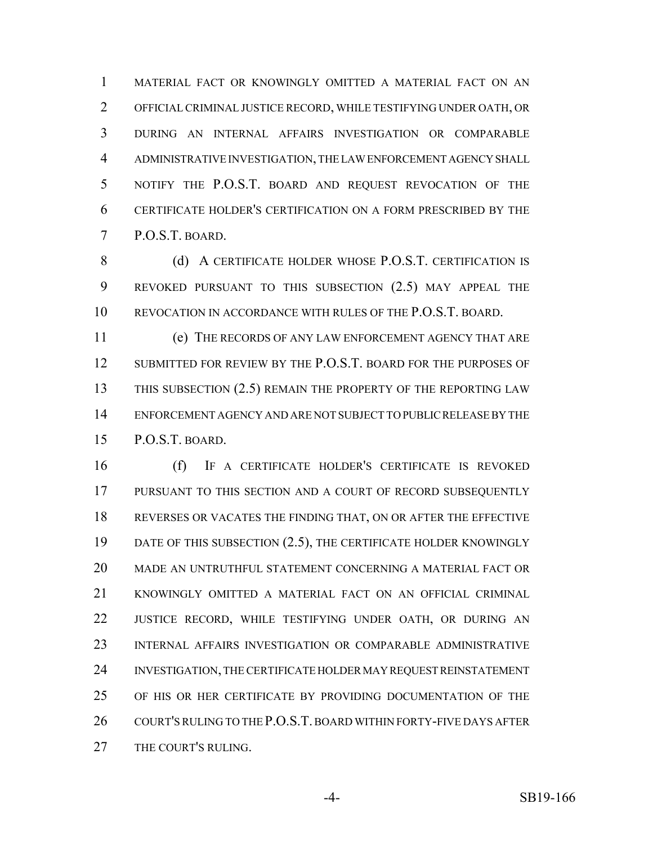MATERIAL FACT OR KNOWINGLY OMITTED A MATERIAL FACT ON AN OFFICIAL CRIMINAL JUSTICE RECORD, WHILE TESTIFYING UNDER OATH, OR DURING AN INTERNAL AFFAIRS INVESTIGATION OR COMPARABLE ADMINISTRATIVE INVESTIGATION, THE LAW ENFORCEMENT AGENCY SHALL NOTIFY THE P.O.S.T. BOARD AND REQUEST REVOCATION OF THE CERTIFICATE HOLDER'S CERTIFICATION ON A FORM PRESCRIBED BY THE P.O.S.T. BOARD.

8 (d) A CERTIFICATE HOLDER WHOSE P.O.S.T. CERTIFICATION IS REVOKED PURSUANT TO THIS SUBSECTION (2.5) MAY APPEAL THE REVOCATION IN ACCORDANCE WITH RULES OF THE P.O.S.T. BOARD.

 (e) THE RECORDS OF ANY LAW ENFORCEMENT AGENCY THAT ARE SUBMITTED FOR REVIEW BY THE P.O.S.T. BOARD FOR THE PURPOSES OF 13 THIS SUBSECTION (2.5) REMAIN THE PROPERTY OF THE REPORTING LAW ENFORCEMENT AGENCY AND ARE NOT SUBJECT TO PUBLIC RELEASE BY THE P.O.S.T. BOARD.

 (f) IF A CERTIFICATE HOLDER'S CERTIFICATE IS REVOKED PURSUANT TO THIS SECTION AND A COURT OF RECORD SUBSEQUENTLY REVERSES OR VACATES THE FINDING THAT, ON OR AFTER THE EFFECTIVE 19 DATE OF THIS SUBSECTION (2.5), THE CERTIFICATE HOLDER KNOWINGLY MADE AN UNTRUTHFUL STATEMENT CONCERNING A MATERIAL FACT OR KNOWINGLY OMITTED A MATERIAL FACT ON AN OFFICIAL CRIMINAL 22 JUSTICE RECORD, WHILE TESTIFYING UNDER OATH, OR DURING AN INTERNAL AFFAIRS INVESTIGATION OR COMPARABLE ADMINISTRATIVE INVESTIGATION, THE CERTIFICATE HOLDER MAY REQUEST REINSTATEMENT OF HIS OR HER CERTIFICATE BY PROVIDING DOCUMENTATION OF THE 26 COURT'S RULING TO THE P.O.S.T. BOARD WITHIN FORTY-FIVE DAYS AFTER THE COURT'S RULING.